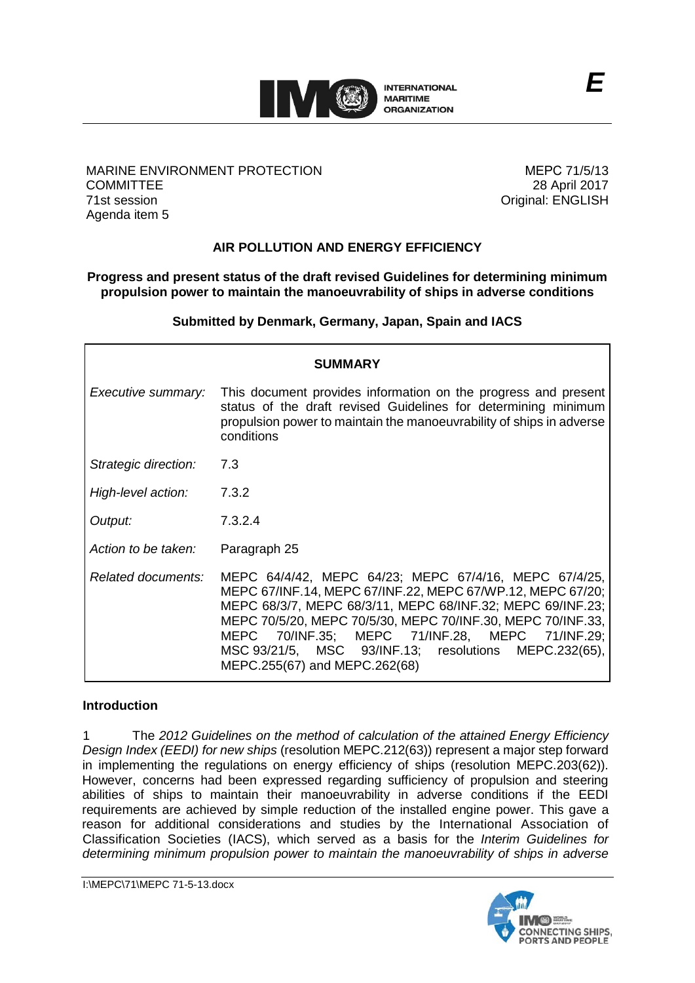

#### MARINE ENVIRONMENT PROTECTION **COMMITTEE** 71st session Agenda item 5

МЕРС 71/5/13 28 April 2017 Original: ENGLISH

# **AIR POLLUTION AND ENERGY EFFICIENCY**

### **Progress and present status of the draft revised Guidelines for determining minimum propulsion power to maintain the manoeuvrability of ships in adverse conditions**

**Submitted by Denmark, Germany, Japan, Spain and IACS**

| <b>SUMMARY</b>       |                                                                                                                                                                                                                                                                                                                                                                                                  |  |  |
|----------------------|--------------------------------------------------------------------------------------------------------------------------------------------------------------------------------------------------------------------------------------------------------------------------------------------------------------------------------------------------------------------------------------------------|--|--|
| Executive summary:   | This document provides information on the progress and present<br>status of the draft revised Guidelines for determining minimum<br>propulsion power to maintain the manoeuvrability of ships in adverse<br>conditions                                                                                                                                                                           |  |  |
| Strategic direction: | 7.3                                                                                                                                                                                                                                                                                                                                                                                              |  |  |
| High-level action:   | 7.3.2                                                                                                                                                                                                                                                                                                                                                                                            |  |  |
| Output:              | 7.3.2.4                                                                                                                                                                                                                                                                                                                                                                                          |  |  |
| Action to be taken:  | Paragraph 25                                                                                                                                                                                                                                                                                                                                                                                     |  |  |
| Related documents:   | MEPC 64/4/42, MEPC 64/23; MEPC 67/4/16, MEPC 67/4/25,<br>MEPC 67/INF.14, MEPC 67/INF.22, MEPC 67/WP.12, MEPC 67/20;<br>MEPC 68/3/7, MEPC 68/3/11, MEPC 68/INF.32; MEPC 69/INF.23;<br>MEPC 70/5/20, MEPC 70/5/30, MEPC 70/INF.30, MEPC 70/INF.33,<br>MEPC 70/INF.35; MEPC 71/INF.28, MEPC 71/INF.29;<br>MSC 93/21/5, MSC 93/INF.13; resolutions<br>MEPC.232(65),<br>MEPC.255(67) and MEPC.262(68) |  |  |

### **Introduction**

1 The *2012 Guidelines on the method of calculation of the attained Energy Efficiency Design Index (EEDI) for new ships* (resolution MEPC.212(63)) represent a major step forward in implementing the regulations on energy efficiency of ships (resolution MEPC.203(62)). However, concerns had been expressed regarding sufficiency of propulsion and steering abilities of ships to maintain their manoeuvrability in adverse conditions if the EEDI requirements are achieved by simple reduction of the installed engine power. This gave a reason for additional considerations and studies by the International Association of Classification Societies (IACS), which served as a basis for the *Interim Guidelines for determining minimum propulsion power to maintain the manoeuvrability of ships in adverse*

I:\MEPC\71\MEPC 71-5-13.docx

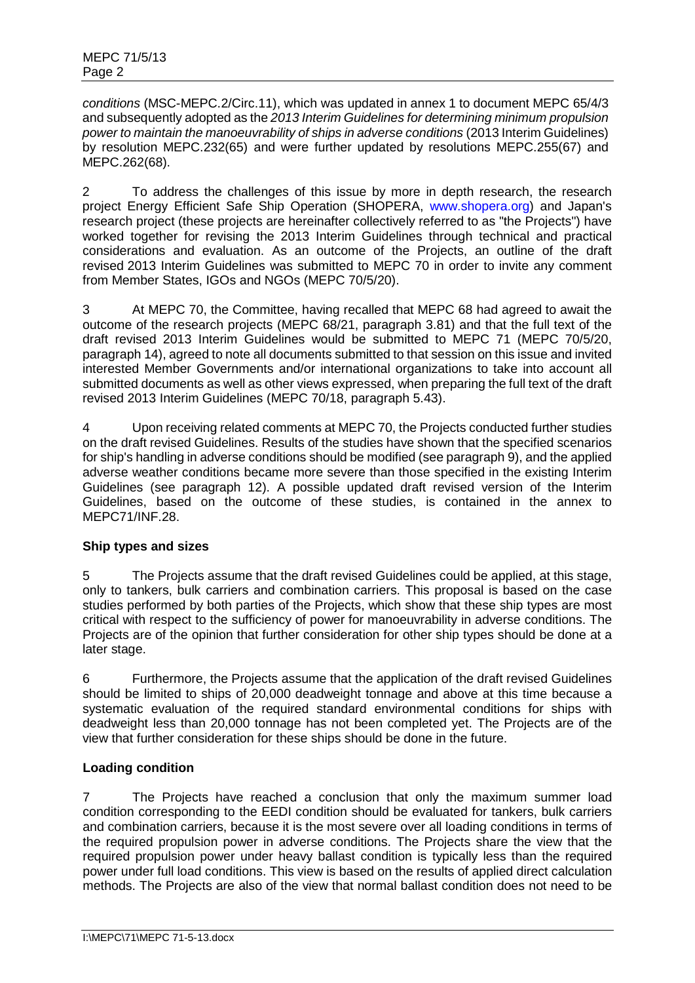*conditions* (MSC-MEPC.2/Circ.11), which was updated in annex 1 to document MEPC 65/4/3 and subsequently adopted as the *2013 Interim Guidelines for determining minimum propulsion power to maintain the manoeuvrability of ships in adverse conditions* (2013 Interim Guidelines) by resolution MEPC.232(65) and were further updated by resolutions MEPC.255(67) and MEPC.262(68).

2 To address the challenges of this issue by more in depth research, the research project Energy Efficient Safe Ship Operation (SHOPERA, [www.shopera.org\)](http://www.shopera.org/) and Japan's research project (these projects are hereinafter collectively referred to as "the Projects") have worked together for revising the 2013 Interim Guidelines through technical and practical considerations and evaluation. As an outcome of the Projects, an outline of the draft revised 2013 Interim Guidelines was submitted to MEPC 70 in order to invite any comment from Member States, IGOs and NGOs (MEPC 70/5/20).

3 At MEPC 70, the Committee, having recalled that MEPC 68 had agreed to await the outcome of the research projects (MEPC 68/21, paragraph 3.81) and that the full text of the draft revised 2013 Interim Guidelines would be submitted to MEPC 71 (MEPC 70/5/20, paragraph 14), agreed to note all documents submitted to that session on this issue and invited interested Member Governments and/or international organizations to take into account all submitted documents as well as other views expressed, when preparing the full text of the draft revised 2013 Interim Guidelines (MEPC 70/18, paragraph 5.43).

4 Upon receiving related comments at MEPC 70, the Projects conducted further studies on the draft revised Guidelines. Results of the studies have shown that the specified scenarios for ship's handling in adverse conditions should be modified (see paragraph 9), and the applied adverse weather conditions became more severe than those specified in the existing Interim Guidelines (see paragraph 12). A possible updated draft revised version of the Interim Guidelines, based on the outcome of these studies, is contained in the annex to MEPC71/INF.28.

# **Ship types and sizes**

5 The Projects assume that the draft revised Guidelines could be applied, at this stage, only to tankers, bulk carriers and combination carriers. This proposal is based on the case studies performed by both parties of the Projects, which show that these ship types are most critical with respect to the sufficiency of power for manoeuvrability in adverse conditions. The Projects are of the opinion that further consideration for other ship types should be done at a later stage.

6 Furthermore, the Projects assume that the application of the draft revised Guidelines should be limited to ships of 20,000 deadweight tonnage and above at this time because a systematic evaluation of the required standard environmental conditions for ships with deadweight less than 20,000 tonnage has not been completed yet. The Projects are of the view that further consideration for these ships should be done in the future.

# **Loading condition**

7 The Projects have reached a conclusion that only the maximum summer load condition corresponding to the EEDI condition should be evaluated for tankers, bulk carriers and combination carriers, because it is the most severe over all loading conditions in terms of the required propulsion power in adverse conditions. The Projects share the view that the required propulsion power under heavy ballast condition is typically less than the required power under full load conditions. This view is based on the results of applied direct calculation methods. The Projects are also of the view that normal ballast condition does not need to be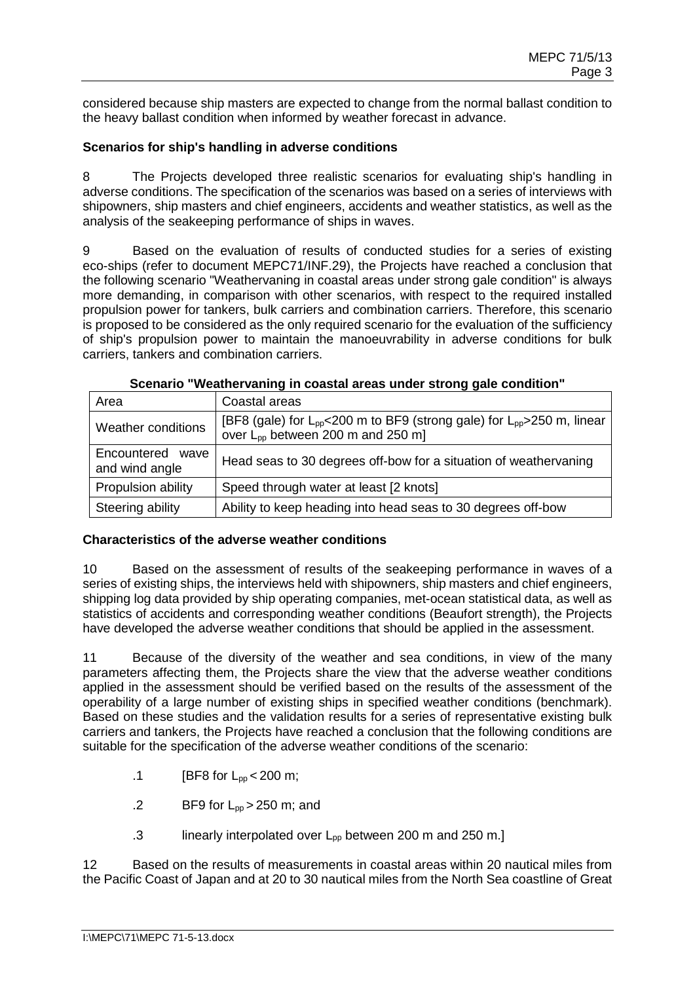considered because ship masters are expected to change from the normal ballast condition to the heavy ballast condition when informed by weather forecast in advance.

#### **Scenarios for ship's handling in adverse conditions**

8 The Projects developed three realistic scenarios for evaluating ship's handling in adverse conditions. The specification of the scenarios was based on a series of interviews with shipowners, ship masters and chief engineers, accidents and weather statistics, as well as the analysis of the seakeeping performance of ships in waves.

9 Based on the evaluation of results of conducted studies for a series of existing eco-ships (refer to document MEPC71/INF.29), the Projects have reached a conclusion that the following scenario "Weathervaning in coastal areas under strong gale condition" is always more demanding, in comparison with other scenarios, with respect to the required installed propulsion power for tankers, bulk carriers and combination carriers. Therefore, this scenario is proposed to be considered as the only required scenario for the evaluation of the sufficiency of ship's propulsion power to maintain the manoeuvrability in adverse conditions for bulk carriers, tankers and combination carriers.

| Area                               | Coastal areas                                                                                                                                   |
|------------------------------------|-------------------------------------------------------------------------------------------------------------------------------------------------|
| Weather conditions                 | [BF8 (gale) for L <sub>pp</sub> <200 m to BF9 (strong gale) for L <sub>pp</sub> >250 m, linear<br>over L <sub>pp</sub> between 200 m and 250 m] |
| Encountered wave<br>and wind angle | Head seas to 30 degrees off-bow for a situation of weather vaning                                                                               |
| Propulsion ability                 | Speed through water at least [2 knots]                                                                                                          |
| Steering ability                   | Ability to keep heading into head seas to 30 degrees off-bow                                                                                    |

|  | Scenario "Weathervaning in coastal areas under strong gale condition" |
|--|-----------------------------------------------------------------------|
|--|-----------------------------------------------------------------------|

#### **Characteristics of the adverse weather conditions**

10 Based on the assessment of results of the seakeeping performance in waves of a series of existing ships, the interviews held with shipowners, ship masters and chief engineers, shipping log data provided by ship operating companies, met-ocean statistical data, as well as statistics of accidents and corresponding weather conditions (Beaufort strength), the Projects have developed the adverse weather conditions that should be applied in the assessment.

11 Because of the diversity of the weather and sea conditions, in view of the many parameters affecting them, the Projects share the view that the adverse weather conditions applied in the assessment should be verified based on the results of the assessment of the operability of a large number of existing ships in specified weather conditions (benchmark). Based on these studies and the validation results for a series of representative existing bulk carriers and tankers, the Projects have reached a conclusion that the following conditions are suitable for the specification of the adverse weather conditions of the scenario:

- .1 **[BF8 for**  $L_{\text{pp}} < 200 \text{ m}$ **;**
- .2 BF9 for  $L_{\text{DD}} > 250$  m; and
- .3 linearly interpolated over  $L_{\text{DD}}$  between 200 m and 250 m.]

12 Based on the results of measurements in coastal areas within 20 nautical miles from the Pacific Coast of Japan and at 20 to 30 nautical miles from the North Sea coastline of Great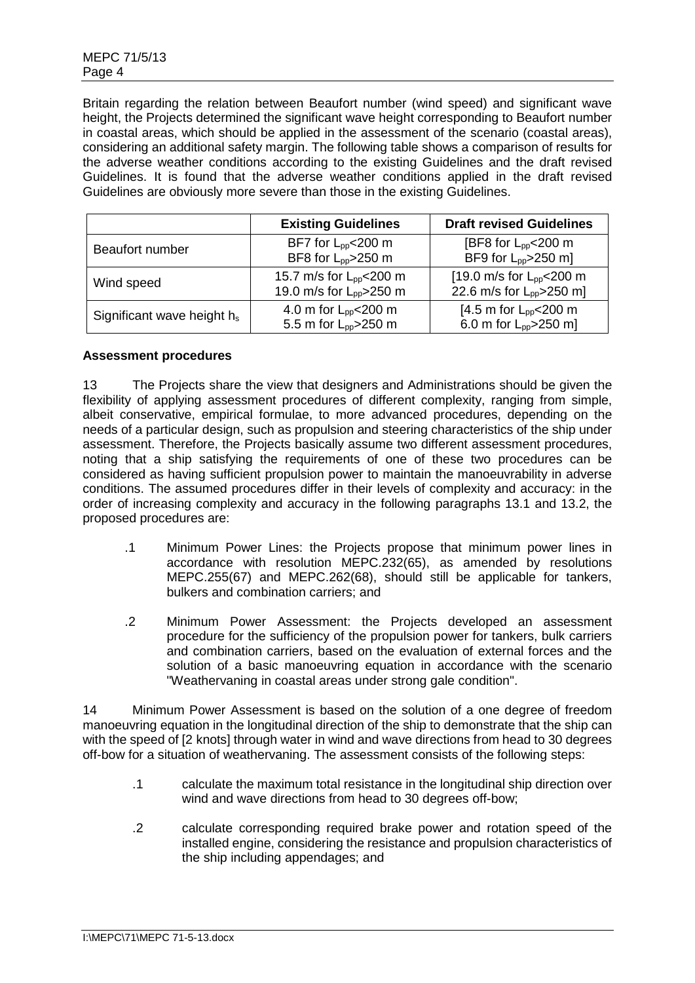Britain regarding the relation between Beaufort number (wind speed) and significant wave height, the Projects determined the significant wave height corresponding to Beaufort number in coastal areas, which should be applied in the assessment of the scenario (coastal areas), considering an additional safety margin. The following table shows a comparison of results for the adverse weather conditions according to the existing Guidelines and the draft revised Guidelines. It is found that the adverse weather conditions applied in the draft revised Guidelines are obviously more severe than those in the existing Guidelines.

|                               | <b>Existing Guidelines</b>                                                 | <b>Draft revised Guidelines</b>                                        |
|-------------------------------|----------------------------------------------------------------------------|------------------------------------------------------------------------|
| Beaufort number               | BF7 for $L_{pp}$ < 200 m<br>BF8 for L <sub>pp</sub> >250 m                 | [BF8 for $L_{\text{pp}}$ < 200 m<br>BF9 for L <sub>pp</sub> >250 m]    |
| Wind speed                    | 15.7 m/s for L <sub>pp</sub> <200 m<br>19.0 m/s for L <sub>pp</sub> >250 m | [19.0 m/s for $L_{pp}$ < 200 m<br>22.6 m/s for L <sub>pp</sub> >250 m] |
| Significant wave height $h_s$ | 4.0 m for $L_{pp}$ < 200 m<br>5.5 m for L <sub>pp</sub> >250 m             | [4.5 m for $L_{pp}$ < 200 m<br>6.0 m for $L_{\text{pp}}$ > 250 m]      |

### **Assessment procedures**

13 The Projects share the view that designers and Administrations should be given the flexibility of applying assessment procedures of different complexity, ranging from simple, albeit conservative, empirical formulae, to more advanced procedures, depending on the needs of a particular design, such as propulsion and steering characteristics of the ship under assessment. Therefore, the Projects basically assume two different assessment procedures, noting that a ship satisfying the requirements of one of these two procedures can be considered as having sufficient propulsion power to maintain the manoeuvrability in adverse conditions. The assumed procedures differ in their levels of complexity and accuracy: in the order of increasing complexity and accuracy in the following paragraphs 13.1 and 13.2, the proposed procedures are:

- .1 Minimum Power Lines: the Projects propose that minimum power lines in accordance with resolution MEPC.232(65), as amended by resolutions MEPC.255(67) and MEPC.262(68), should still be applicable for tankers, bulkers and combination carriers; and
- .2 Minimum Power Assessment: the Projects developed an assessment procedure for the sufficiency of the propulsion power for tankers, bulk carriers and combination carriers, based on the evaluation of external forces and the solution of a basic manoeuvring equation in accordance with the scenario "Weathervaning in coastal areas under strong gale condition".

14 Minimum Power Assessment is based on the solution of a one degree of freedom manoeuvring equation in the longitudinal direction of the ship to demonstrate that the ship can with the speed of [2 knots] through water in wind and wave directions from head to 30 degrees off-bow for a situation of weathervaning. The assessment consists of the following steps:

- .1 calculate the maximum total resistance in the longitudinal ship direction over wind and wave directions from head to 30 degrees off-bow;
- .2 calculate corresponding required brake power and rotation speed of the installed engine, considering the resistance and propulsion characteristics of the ship including appendages; and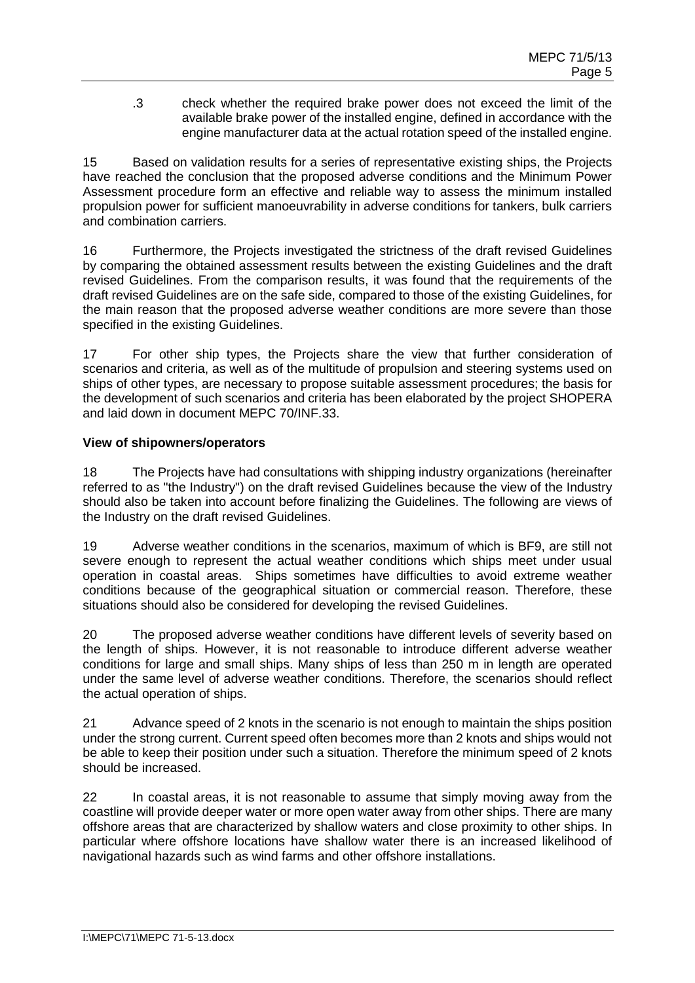.3 check whether the required brake power does not exceed the limit of the available brake power of the installed engine, defined in accordance with the engine manufacturer data at the actual rotation speed of the installed engine.

15 Based on validation results for a series of representative existing ships, the Projects have reached the conclusion that the proposed adverse conditions and the Minimum Power Assessment procedure form an effective and reliable way to assess the minimum installed propulsion power for sufficient manoeuvrability in adverse conditions for tankers, bulk carriers and combination carriers.

16 Furthermore, the Projects investigated the strictness of the draft revised Guidelines by comparing the obtained assessment results between the existing Guidelines and the draft revised Guidelines. From the comparison results, it was found that the requirements of the draft revised Guidelines are on the safe side, compared to those of the existing Guidelines, for the main reason that the proposed adverse weather conditions are more severe than those specified in the existing Guidelines.

17 For other ship types, the Projects share the view that further consideration of scenarios and criteria, as well as of the multitude of propulsion and steering systems used on ships of other types, are necessary to propose suitable assessment procedures; the basis for the development of such scenarios and criteria has been elaborated by the project SHOPERA and laid down in document MEPC 70/INF.33.

### **View of shipowners/operators**

18 The Projects have had consultations with shipping industry organizations (hereinafter referred to as "the Industry") on the draft revised Guidelines because the view of the Industry should also be taken into account before finalizing the Guidelines. The following are views of the Industry on the draft revised Guidelines.

19 Adverse weather conditions in the scenarios, maximum of which is BF9, are still not severe enough to represent the actual weather conditions which ships meet under usual operation in coastal areas. Ships sometimes have difficulties to avoid extreme weather conditions because of the geographical situation or commercial reason. Therefore, these situations should also be considered for developing the revised Guidelines.

20 The proposed adverse weather conditions have different levels of severity based on the length of ships. However, it is not reasonable to introduce different adverse weather conditions for large and small ships. Many ships of less than 250 m in length are operated under the same level of adverse weather conditions. Therefore, the scenarios should reflect the actual operation of ships.

21 Advance speed of 2 knots in the scenario is not enough to maintain the ships position under the strong current. Current speed often becomes more than 2 knots and ships would not be able to keep their position under such a situation. Therefore the minimum speed of 2 knots should be increased.

22 In coastal areas, it is not reasonable to assume that simply moving away from the coastline will provide deeper water or more open water away from other ships. There are many offshore areas that are characterized by shallow waters and close proximity to other ships. In particular where offshore locations have shallow water there is an increased likelihood of navigational hazards such as wind farms and other offshore installations.